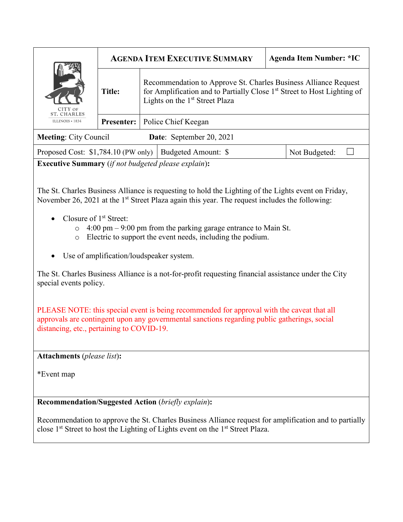| CITY OF<br><b>ST. CHARLES</b><br>ILLINOIS $\cdot$ 1834   | <b>AGENDA ITEM EXECUTIVE SUMMARY</b> |                                                                                                                                                                                                      |                     | <b>Agenda Item Number: *IC</b> |               |
|----------------------------------------------------------|--------------------------------------|------------------------------------------------------------------------------------------------------------------------------------------------------------------------------------------------------|---------------------|--------------------------------|---------------|
|                                                          | <b>Title:</b>                        | Recommendation to Approve St. Charles Business Alliance Request<br>for Amplification and to Partially Close 1 <sup>st</sup> Street to Host Lighting of<br>Lights on the 1 <sup>st</sup> Street Plaza |                     |                                |               |
|                                                          | <b>Presenter:</b>                    | Police Chief Keegan                                                                                                                                                                                  |                     |                                |               |
| Date: September 20, 2021<br><b>Meeting: City Council</b> |                                      |                                                                                                                                                                                                      |                     |                                |               |
| Proposed Cost: $$1,784.10$ (PW only)                     |                                      |                                                                                                                                                                                                      | Budgeted Amount: \$ |                                | Not Budgeted: |

**Executive Summary** (*if not budgeted please explain*)**:**

The St. Charles Business Alliance is requesting to hold the Lighting of the Lights event on Friday, November 26, 2021 at the  $1<sup>st</sup>$  Street Plaza again this year. The request includes the following:

- Closure of  $1<sup>st</sup>$  Street:
	- o 4:00 pm 9:00 pm from the parking garage entrance to Main St.
	- o Electric to support the event needs, including the podium.
- Use of amplification/loudspeaker system.

The St. Charles Business Alliance is a not-for-profit requesting financial assistance under the City special events policy.

PLEASE NOTE: this special event is being recommended for approval with the caveat that all approvals are contingent upon any governmental sanctions regarding public gatherings, social distancing, etc., pertaining to COVID-19.

**Attachments** (*please list*)**:** 

\*Event map

**Recommendation/Suggested Action** (*briefly explain*)**:**

Recommendation to approve the St. Charles Business Alliance request for amplification and to partially close 1st Street to host the Lighting of Lights event on the 1st Street Plaza.